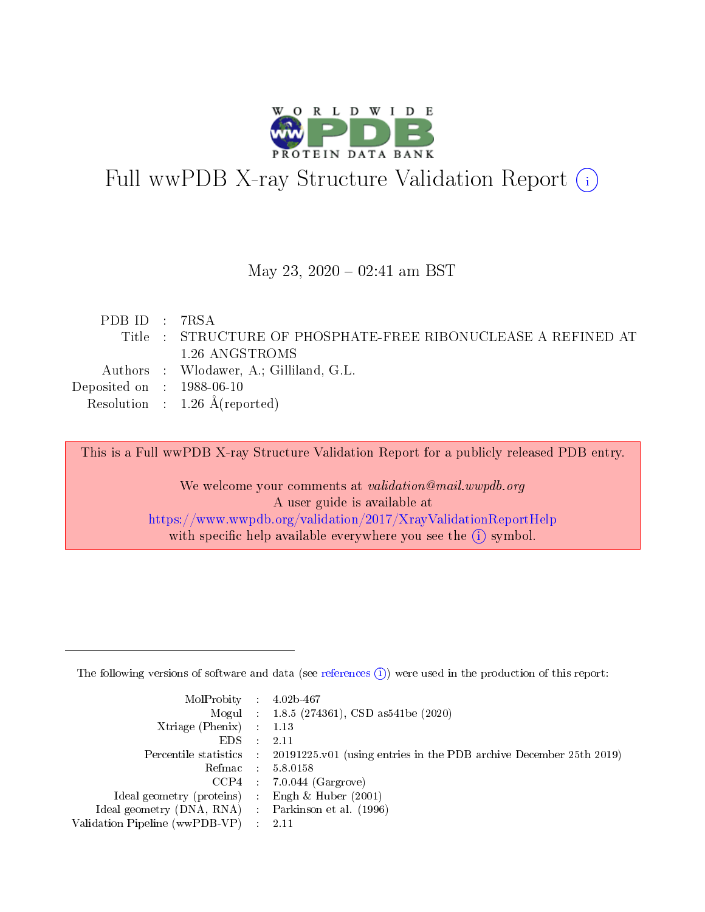

# Full wwPDB X-ray Structure Validation Report (i)

#### May 23,  $2020 - 02:41$  am BST

| PDB ID : 7RSA                  |                                                               |
|--------------------------------|---------------------------------------------------------------|
|                                | Title : STRUCTURE OF PHOSPHATE-FREE RIBONUCLEASE A REFINED AT |
|                                | 1.26 ANGSTROMS                                                |
|                                | Authors : Wlodawer, A.; Gilliland, G.L.                       |
| Deposited on $\,$ : 1988-06-10 |                                                               |
|                                | Resolution : $1.26 \text{ Å}$ (reported)                      |
|                                |                                                               |

This is a Full wwPDB X-ray Structure Validation Report for a publicly released PDB entry.

We welcome your comments at validation@mail.wwpdb.org A user guide is available at <https://www.wwpdb.org/validation/2017/XrayValidationReportHelp> with specific help available everywhere you see the  $(i)$  symbol.

The following versions of software and data (see [references](https://www.wwpdb.org/validation/2017/XrayValidationReportHelp#references)  $(1)$ ) were used in the production of this report:

| $MolProbability$ 4.02b-467                          |               |                                                                                            |
|-----------------------------------------------------|---------------|--------------------------------------------------------------------------------------------|
|                                                     |               | Mogul : $1.8.5$ (274361), CSD as 541be (2020)                                              |
| Xtriage (Phenix) $: 1.13$                           |               |                                                                                            |
| EDS.                                                | $\mathcal{L}$ | -2.11                                                                                      |
|                                                     |               | Percentile statistics : 20191225.v01 (using entries in the PDB archive December 25th 2019) |
|                                                     |               | Refmac $5.8.0158$                                                                          |
| CCP4                                                |               | $7.0.044$ (Gargrove)                                                                       |
| Ideal geometry (proteins)                           | $\sim$        | Engh $\&$ Huber (2001)                                                                     |
| Ideal geometry (DNA, RNA) : Parkinson et al. (1996) |               |                                                                                            |
| Validation Pipeline (wwPDB-VP) : 2.11               |               |                                                                                            |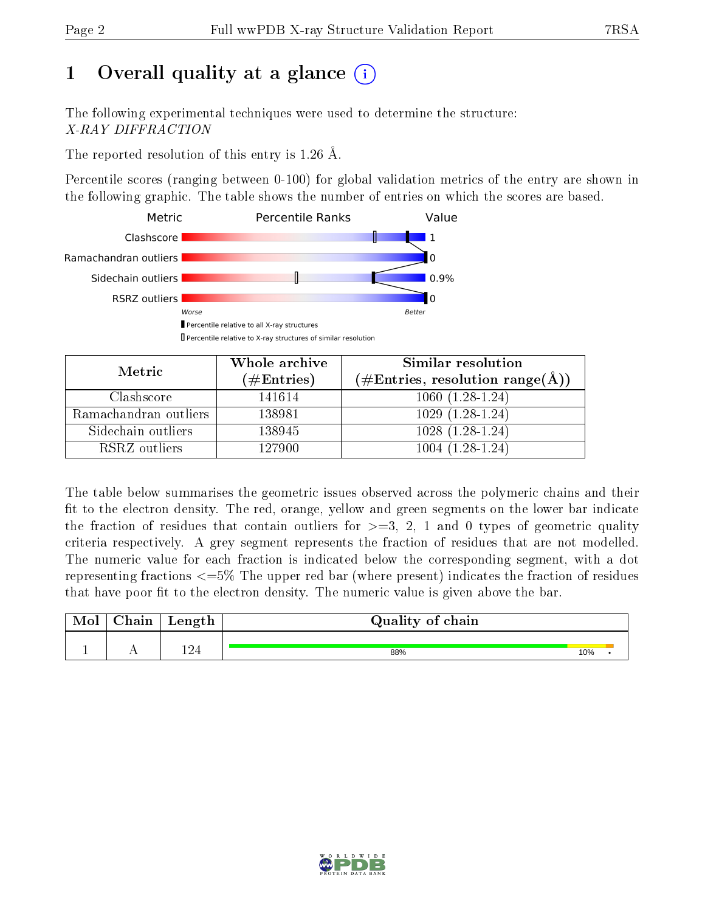# 1 [O](https://www.wwpdb.org/validation/2017/XrayValidationReportHelp#overall_quality)verall quality at a glance  $(i)$

The following experimental techniques were used to determine the structure: X-RAY DIFFRACTION

The reported resolution of this entry is 1.26 Å.

Percentile scores (ranging between 0-100) for global validation metrics of the entry are shown in the following graphic. The table shows the number of entries on which the scores are based.



| Metric                | Whole archive        | <b>Similar resolution</b>                          |
|-----------------------|----------------------|----------------------------------------------------|
|                       | $(\#\text{Entries})$ | $(\#\text{Entries}, \text{resolution range}(\AA))$ |
| Clashscore            | 141614               | $1060(1.28-1.24)$                                  |
| Ramachandran outliers | 138981               | $1029(1.28-1.24)$                                  |
| Sidechain outliers    | 138945               | $1028(1.28-1.24)$                                  |
| RSRZ outliers         | 127900               | $1004(1.28-1.24)$                                  |

The table below summarises the geometric issues observed across the polymeric chains and their fit to the electron density. The red, orange, yellow and green segments on the lower bar indicate the fraction of residues that contain outliers for  $\geq=3$ , 2, 1 and 0 types of geometric quality criteria respectively. A grey segment represents the fraction of residues that are not modelled. The numeric value for each fraction is indicated below the corresponding segment, with a dot representing fractions  $\epsilon = 5\%$  The upper red bar (where present) indicates the fraction of residues that have poor fit to the electron density. The numeric value is given above the bar.

| Chain | Length | Quality of chain |     |  |
|-------|--------|------------------|-----|--|
|       |        |                  |     |  |
|       | 194    | 88%              | 10% |  |

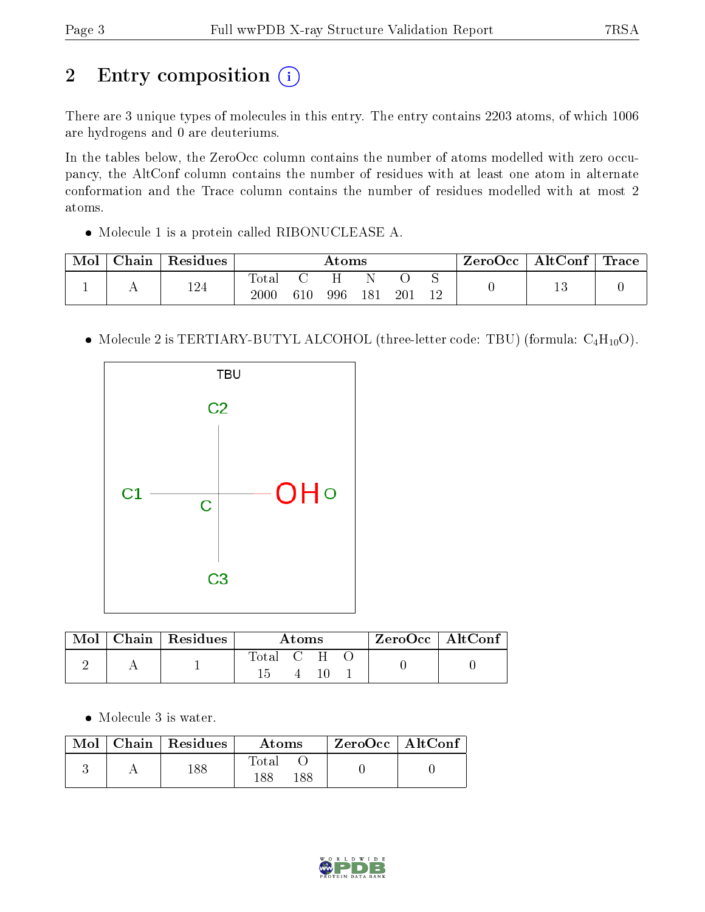# 2 Entry composition (i)

There are 3 unique types of molecules in this entry. The entry contains 2203 atoms, of which 1006 are hydrogens and 0 are deuteriums.

In the tables below, the ZeroOcc column contains the number of atoms modelled with zero occupancy, the AltConf column contains the number of residues with at least one atom in alternate conformation and the Trace column contains the number of residues modelled with at most 2 atoms.

Molecule 1 is a protein called RIBONUCLEASE A.

| Mol | ⊤ Chain | $\perp$ Residues |                         | Atoms |     |     |     |  | ZeroOcc | $\mid$ AltConf $\mid$ Trace $\mid$ |  |
|-----|---------|------------------|-------------------------|-------|-----|-----|-----|--|---------|------------------------------------|--|
|     |         | 124              | $\rm Total$<br>$2000\,$ | 610   | 996 | 181 | 201 |  |         | ⊥∪                                 |  |

• Molecule 2 is TERTIARY-BUTYL ALCOHOL (three-letter code: TBU) (formula:  $C_4H_{10}O$ ).



| $\lq$ Mol $\lq$ | $\mid$ Chain $\mid$ Residues | Atoms     |  |  | $\,$ ZeroOcc $\,$ AltConf $\,$ |  |
|-----------------|------------------------------|-----------|--|--|--------------------------------|--|
|                 |                              | Total C H |  |  |                                |  |

• Molecule 3 is water.

|  | $\text{Mol}$   Chain   Residues | Atoms               | $\mid$ ZeroOcc $\mid$ AltConf $\mid$ |  |
|--|---------------------------------|---------------------|--------------------------------------|--|
|  | 188                             | Total<br>188<br>188 |                                      |  |

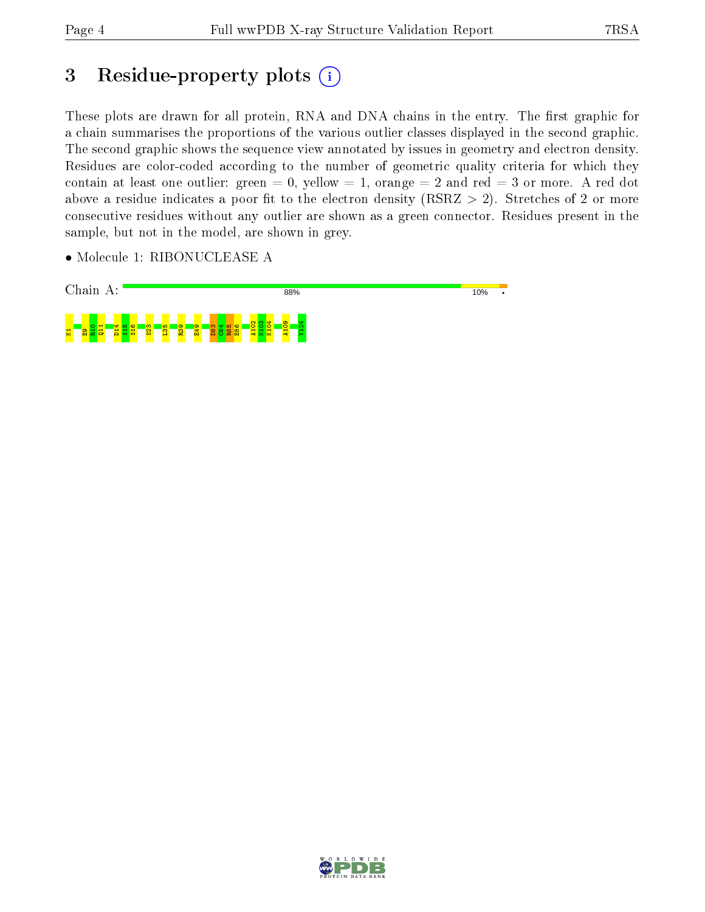## 3 Residue-property plots (i)

These plots are drawn for all protein, RNA and DNA chains in the entry. The first graphic for a chain summarises the proportions of the various outlier classes displayed in the second graphic. The second graphic shows the sequence view annotated by issues in geometry and electron density. Residues are color-coded according to the number of geometric quality criteria for which they contain at least one outlier: green  $= 0$ , yellow  $= 1$ , orange  $= 2$  and red  $= 3$  or more. A red dot above a residue indicates a poor fit to the electron density (RSRZ  $> 2$ ). Stretches of 2 or more consecutive residues without any outlier are shown as a green connector. Residues present in the sample, but not in the model, are shown in grey.

• Molecule 1: RIBONUCLEASE A



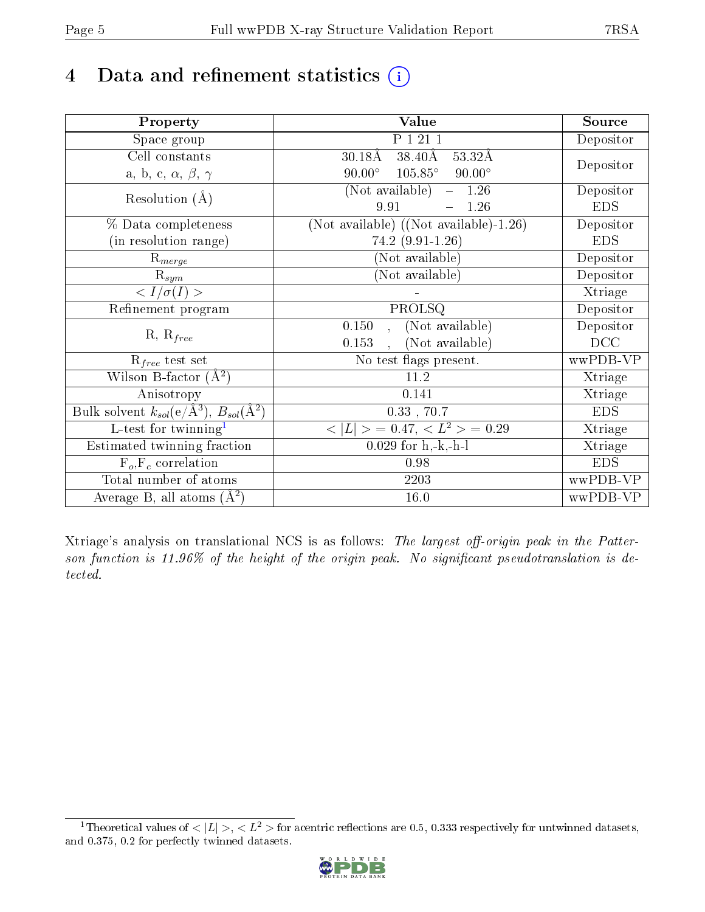# 4 Data and refinement statistics  $(i)$

| Property                                                             | <b>Value</b>                                       | Source     |  |
|----------------------------------------------------------------------|----------------------------------------------------|------------|--|
| Space group                                                          | P 1 21 1                                           | Depositor  |  |
| Cell constants                                                       | $38.40\text{\AA}$<br>$30.18\text{\AA}$<br>53.32Å   |            |  |
| a, b, c, $\alpha$ , $\beta$ , $\gamma$                               | $105.85^{\circ}$<br>$90.00^\circ$<br>$90.00^\circ$ | Depositor  |  |
| Resolution $(A)$                                                     | $(Not available) -$<br>1.26                        | Depositor  |  |
|                                                                      | 9.91<br>1.26<br>$\frac{1}{2}$                      | <b>EDS</b> |  |
| % Data completeness                                                  | (Not available) $(Not available)-1.26)$            | Depositor  |  |
| (in resolution range)                                                | 74.2 (9.91-1.26)                                   | <b>EDS</b> |  |
| $R_{merge}$                                                          | (Not available)                                    | Depositor  |  |
| $\mathrm{R}_{sym}$                                                   | (Not available)                                    | Depositor  |  |
| $\langle I/\sigma(I)\rangle$                                         |                                                    | Xtriage    |  |
| Refinement program                                                   | PROLSQ                                             | Depositor  |  |
|                                                                      | (Not available)<br>0.150                           | Depositor  |  |
| $R, R_{free}$                                                        | (Not available)<br>0.153<br>$\ddot{\phantom{a}}$   | DCC        |  |
| $\mathcal{R}_{free}$ test set                                        | No test flags present.                             | wwPDB-VP   |  |
| Wilson B-factor $(A^2)$                                              | 11.2                                               | Xtriage    |  |
| Anisotropy                                                           | 0.141                                              | Xtriage    |  |
| Bulk solvent $k_{sol}(e/\mathring{A}^3)$ , $B_{sol}(\mathring{A}^2)$ | $0.33$ , $70.7$                                    | <b>EDS</b> |  |
| $\overline{\text{L-test}}$ for twinning <sup>1</sup>                 | $< L >$ = 0.47, $< L2 >$ = 0.29                    | Xtriage    |  |
| Estimated twinning fraction                                          | $0.029$ for $h, -k, -h-1$                          | Xtriage    |  |
| $F_o, F_c$ correlation                                               | 0.98                                               | <b>EDS</b> |  |
| Total number of atoms                                                | 2203                                               | wwPDB-VP   |  |
| Average B, all atoms $(A^2)$                                         | 16.0                                               | wwPDB-VP   |  |

Xtriage's analysis on translational NCS is as follows: The largest off-origin peak in the Patterson function is  $11.96\%$  of the height of the origin peak. No significant pseudotranslation is detected.

<span id="page-4-0"></span><sup>&</sup>lt;sup>1</sup>Theoretical values of  $\langle |L| \rangle, \langle L^2 \rangle$  for acentric reflections are 0.5, 0.333 respectively for untwinned datasets, and 0.375, 0.2 for perfectly twinned datasets.

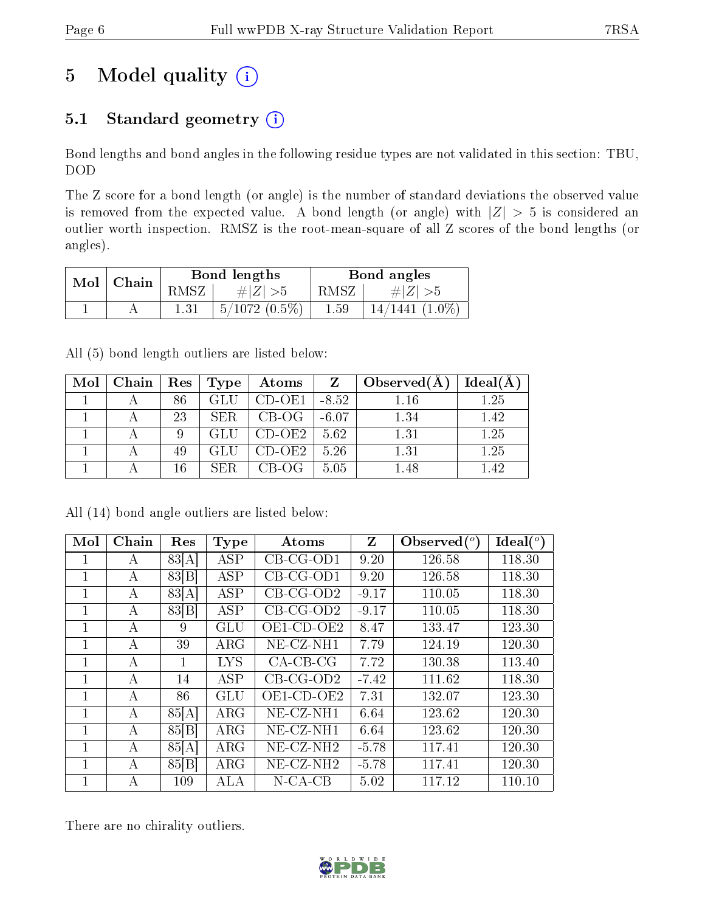# 5 Model quality  $(i)$

### 5.1 Standard geometry  $(i)$

Bond lengths and bond angles in the following residue types are not validated in this section: TBU, DOD

The Z score for a bond length (or angle) is the number of standard deviations the observed value is removed from the expected value. A bond length (or angle) with  $|Z| > 5$  is considered an outlier worth inspection. RMSZ is the root-mean-square of all Z scores of the bond lengths (or angles).

| Mol |       |         | Bond lengths    |          | Bond angles         |
|-----|-------|---------|-----------------|----------|---------------------|
|     | Chain | R.MSZ - | $\# Z  > 5$     | RMSZ     | $\# Z  >$ b         |
|     |       |         | $5/1072(0.5\%)$ | $1.59\,$ | $14/1441$ $(1.0\%)$ |

All (5) bond length outliers are listed below:

| Mol | Chain | $\operatorname{Res}$ | Type | Atoms    | Z       | Observed $(A)$ | Ideal(A |
|-----|-------|----------------------|------|----------|---------|----------------|---------|
|     |       | 86                   |      | $CD-OE1$ | $-8.52$ | 1.16           | 1.25    |
|     |       | 23                   | SER. | $CB-OG$  | $-6.07$ | 1.34           | 1.42    |
|     |       |                      |      | CD-OE2   | 5.62    | 1.31           | 1.25    |
|     |       | 49                   |      | CD-OE2   | 5.26    | 1.31           | 1.25    |
|     |       | 16                   |      | CB-OG-   | 5.05    | 1.48           | 1.42    |

| Mol | Chain | Res   | <b>Type</b> | Atoms                    | Z       | Observed $\binom{o}{c}$ | Ideal $(^\circ)$ |
|-----|-------|-------|-------------|--------------------------|---------|-------------------------|------------------|
|     | А     | 83[A] | <b>ASP</b>  | $CB-CG-OD1$              | 9.20    | 126.58                  | 118.30           |
| 1   | А     | 83 B  | ASP         | $CB-CG-OD1$              | 9.20    | 126.58                  | 118.30           |
| 1   | А     | 83[A] | <b>ASP</b>  | $CB-CG-OD2$              | $-9.17$ | 110.05                  | 118.30           |
| 1   | А     | 83 B  | <b>ASP</b>  | $CB-CG-OD2$              | $-9.17$ | 110.05                  | 118.30           |
| 1   | А     | 9     | <b>GLU</b>  | $OE1$ -CD-OE2            | 8.47    | 133.47                  | 123.30           |
| 1   | А     | 39    | $\rm{ARG}$  | $NE- CZ-NH1$             | 7.79    | 124.19                  | 120.30           |
|     | А     | 1     | <b>LYS</b>  | $CA-CB-CG$               | 7.72    | 130.38                  | 113.40           |
| 1   | А     | 14    | <b>ASP</b>  | $CB-CG-OD2$              | $-7.42$ | 111.62                  | 118.30           |
| 1   | А     | 86    | <b>GLU</b>  | OE1-CD-OE2               | 7.31    | 132.07                  | 123.30           |
| 1   | А     | 85[A] | $\rm{ARG}$  | $NE- CZ-NH1$             | 6.64    | 123.62                  | 120.30           |
| 1   | А     | 85[B] | $\rm{ARG}$  | $NE- CZ-NH1$             | 6.64    | 123.62                  | 120.30           |
|     | А     | 85[A] | $\rm{ARG}$  | $NE$ -CZ-NH <sub>2</sub> | $-5.78$ | 117.41                  | 120.30           |
|     | А     | 85 B  | $\rm{ARG}$  | $NE$ -CZ-NH <sub>2</sub> | $-5.78$ | 117.41                  | 120.30           |
|     | А     | 109   | ALA         | $N$ -CA-CB               | 5.02    | 117.12                  | 110.10           |

All (14) bond angle outliers are listed below:

There are no chirality outliers.

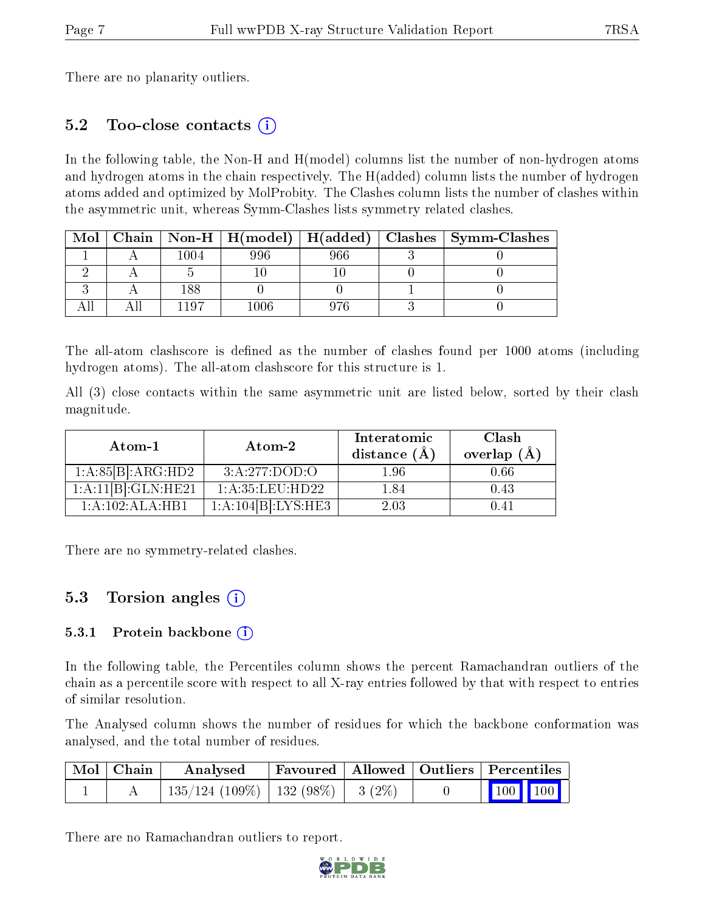There are no planarity outliers.

### 5.2 Too-close contacts (i)

In the following table, the Non-H and H(model) columns list the number of non-hydrogen atoms and hydrogen atoms in the chain respectively. The H(added) column lists the number of hydrogen atoms added and optimized by MolProbity. The Clashes column lists the number of clashes within the asymmetric unit, whereas Symm-Clashes lists symmetry related clashes.

| Mol |      |      |     | Chain   Non-H   H(model)   H(added)   Clashes   Symm-Clashes |
|-----|------|------|-----|--------------------------------------------------------------|
|     | 1004 | 996  | 966 |                                                              |
|     |      |      |     |                                                              |
|     | 188  |      |     |                                                              |
|     | 1107 | 1006 | 976 |                                                              |

The all-atom clashscore is defined as the number of clashes found per 1000 atoms (including hydrogen atoms). The all-atom clashscore for this structure is 1.

All (3) close contacts within the same asymmetric unit are listed below, sorted by their clash magnitude.

| Atom-1             | Atom-2             | Interatomic<br>distance $(\AA)$ | Clash<br>overlap $(\AA)$ |  |
|--------------------|--------------------|---------------------------------|--------------------------|--|
| 1:A:85[B]:ARG:HD2  | 3:A:277:DOD:O      | 1.96                            | 0.66                     |  |
| 1:A:11[B]:GLN:HE21 | 1: A:35:LEU:HD22   | 1.84                            | 0.43                     |  |
| 1:A:102:ALA:HB1    | 1:A:104[B]:LYS:HE3 | 2.03                            | () 41                    |  |

There are no symmetry-related clashes.

#### 5.3 Torsion angles (i)

#### 5.3.1 Protein backbone  $(i)$

In the following table, the Percentiles column shows the percent Ramachandran outliers of the chain as a percentile score with respect to all X-ray entries followed by that with respect to entries of similar resolution.

The Analysed column shows the number of residues for which the backbone conformation was analysed, and the total number of residues.

| $\mid$ Mol $\mid$ Chain $\mid$ | $\boldsymbol{\mathrm{Analysed}}$         |  | Favoured   Allowed   Outliers   Percentiles |  |                         |  |
|--------------------------------|------------------------------------------|--|---------------------------------------------|--|-------------------------|--|
|                                | $135/124$ (109\%)   132 (98\%)   3 (2\%) |  |                                             |  | $\vert$ 100 100 $\vert$ |  |

There are no Ramachandran outliers to report.

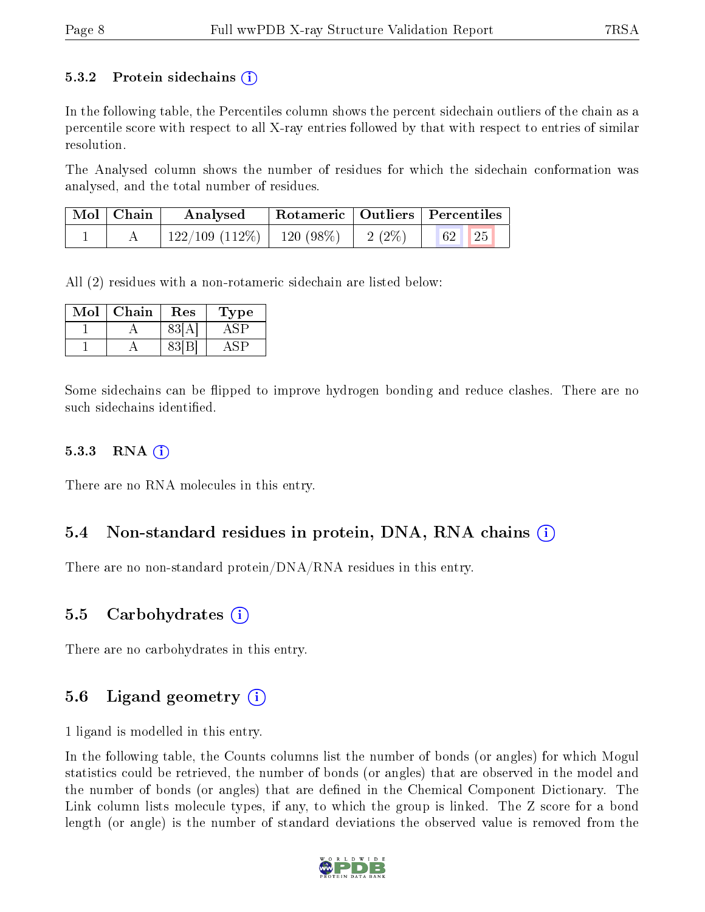#### 5.3.2 Protein sidechains  $\hat{I}$

In the following table, the Percentiles column shows the percent sidechain outliers of the chain as a percentile score with respect to all X-ray entries followed by that with respect to entries of similar resolution.

The Analysed column shows the number of residues for which the sidechain conformation was analysed, and the total number of residues.

| Mol   Chain | Analysed                       | Rotameric   Outliers   Percentiles |          |          |  |  |
|-------------|--------------------------------|------------------------------------|----------|----------|--|--|
|             | $122/109$ (112\%)   120 (98\%) |                                    | $2(2\%)$ | 25<br>62 |  |  |

All (2) residues with a non-rotameric sidechain are listed below:

| Mol | Chain | $\operatorname{Res}% \left( \mathcal{N}\right) \equiv\operatorname{Res}(\mathcal{N}_{0})\cap\mathcal{N}_{1}$ | L'ype |
|-----|-------|--------------------------------------------------------------------------------------------------------------|-------|
|     |       |                                                                                                              |       |
|     |       |                                                                                                              |       |

Some sidechains can be flipped to improve hydrogen bonding and reduce clashes. There are no such sidechains identified.

#### $5.3.3$  RNA  $(i)$

There are no RNA molecules in this entry.

#### 5.4 Non-standard residues in protein, DNA, RNA chains (i)

There are no non-standard protein/DNA/RNA residues in this entry.

#### 5.5 Carbohydrates (i)

There are no carbohydrates in this entry.

#### 5.6 Ligand geometry  $(i)$

1 ligand is modelled in this entry.

In the following table, the Counts columns list the number of bonds (or angles) for which Mogul statistics could be retrieved, the number of bonds (or angles) that are observed in the model and the number of bonds (or angles) that are defined in the Chemical Component Dictionary. The Link column lists molecule types, if any, to which the group is linked. The Z score for a bond length (or angle) is the number of standard deviations the observed value is removed from the

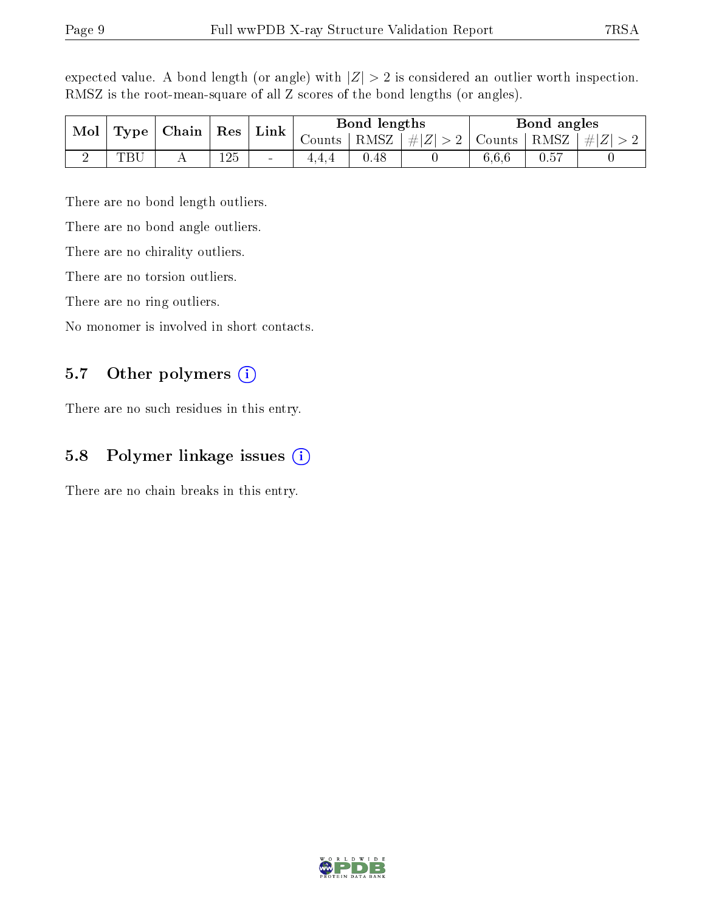| $\bf{Mol}$<br>Type | Chain   Res |  | $\perp$ Link |                          | Bond lengths |              | Bond angles |        |      |                |
|--------------------|-------------|--|--------------|--------------------------|--------------|--------------|-------------|--------|------|----------------|
|                    |             |  |              |                          | . ∪ounts∣    | $+$ RMSZ $+$ | $\# Z  > 2$ | Counts | RMSZ | $\vert \#  Z $ |
|                    | TRI         |  | 125          | $\overline{\phantom{a}}$ |              | $0.48\,$     |             | 6.6.6  |      |                |

expected value. A bond length (or angle) with  $|Z| > 2$  is considered an outlier worth inspection. RMSZ is the root-mean-square of all Z scores of the bond lengths (or angles).

There are no bond length outliers.

There are no bond angle outliers.

There are no chirality outliers.

There are no torsion outliers.

There are no ring outliers.

No monomer is involved in short contacts.

#### 5.7 [O](https://www.wwpdb.org/validation/2017/XrayValidationReportHelp#nonstandard_residues_and_ligands)ther polymers (i)

There are no such residues in this entry.

#### 5.8 Polymer linkage issues (i)

There are no chain breaks in this entry.